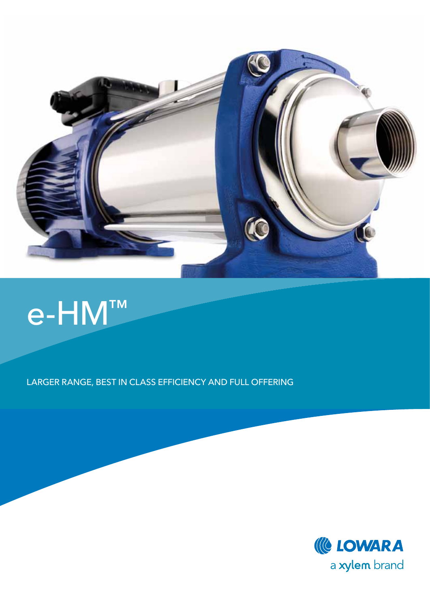

## e-HM™

Larger range, BEST IN CLASS efficiency and full offering

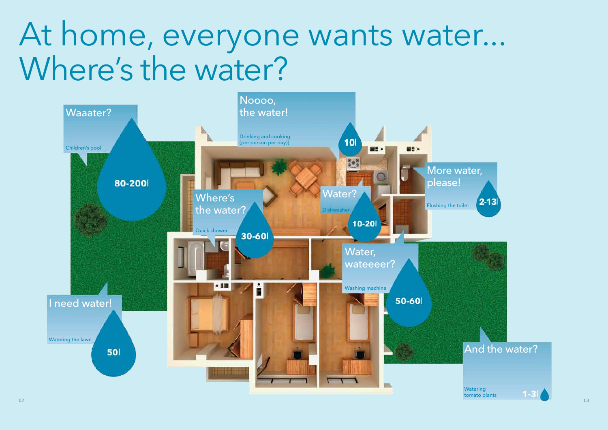

# At home, everyone wants water... Where's the water?

**Watering** tomato plants

### And the water?

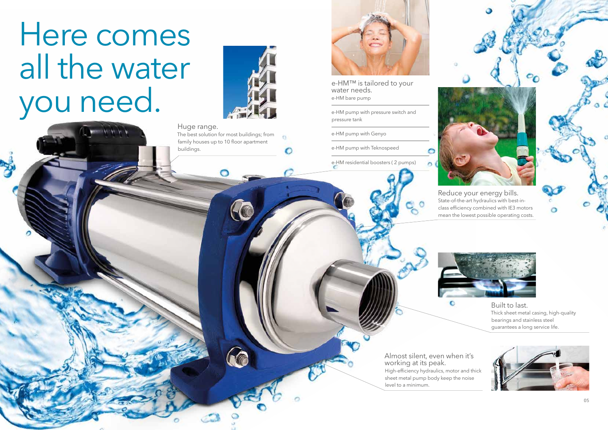# Here comes all the water you needs.<br>
We need to your water needs.<br>
e-HM bare pump<br>
e-HM pump with pressure switch and<br>
pressure tank



 $\alpha$ 

∩

water needs. e-HM bare pump

e-HM pump with pressure switch and pressure tank

e-HM pump with Genyo

e-HM pump with Teknospeed

e-HM residential boosters ( 2 pumps)



Reduce your energy bills. State-of-the-art hydraulics with best-inclass efficiency combined with IE3 motors mean the lowest possible operating costs.



Built to last. Thick sheet metal casing, high-quality bearings and stainless steel guarantees a long service life.



#### Huge range.

The best solution for most buildings; from family houses up to 10 floor apartment buildings.



Almost silent, even when it's working at its peak. High-efficiency hydraulics, motor and thick sheet metal pump body keep the noise level to a minimum.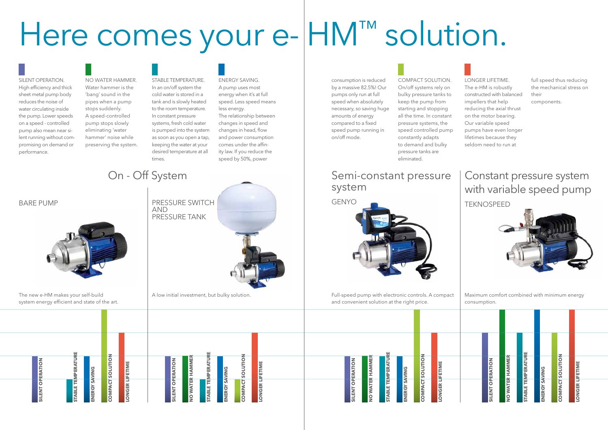**Energy saving**

**Y SAVING** 

**Energy saving**

ERGY SAVING

**Longer lifetime**

**ONGER LIFETIME** 

**Longer lifetime**

**ONGER LIFETIME** 



| <b>SILENT OPERATION</b> | NO WATER HAMMER | <b>STABLE TEMPERATURE</b> | ENERGY SAVING | <b>COMPACT SOLUTION</b> | <b>LONGER LIFETIME</b> |
|-------------------------|-----------------|---------------------------|---------------|-------------------------|------------------------|

**Silent operation**

ENT OPERATION

**MPACT SOLUTION ct solution**

**Silent operation**

ENT OPERATIO



**APACT SOLUTION ct solution**

**Stable temperature**

**BLE TEMPERATU** 

**Stable temperature**

**ABLE TEMPERATUR** 

No water hammer. Water hammer is the 'bang' sound in the pipes when a pump stops suddenly. A speed-controlled pump stops slowly eliminating 'water hammer' noise while preserving the system. ENERGY SAVING. A pump uses most energy when it's at full speed. Less speed means less energy. The relationship between changes in speed and

#### Stable temperature. In an on/off system the cold water is stored in a tank and is slowly heated to the room temperature. In constant pressure systems, fresh cold water is pumped into the system as soon as you open a tap, keeping the water at your desired temperature at all times.

changes in head, flow and power consumption comes under the affinity law. If you reduce the speed by 50%, power

A low initial investment, but bulky solution. The same state of the speed pump with electronic controls. A compact and convenient solution at the right price.

### On - Off System Semi-constant pressure system

consumption is reduced by a massive 82.5%! Our pumps only run at full speed when absolutely necessary, so saving huge amounts of energy compared to a fixed speed pump running in on/off mode.

**AND** pressure tank Compact solution. On/off systems rely on bulky pressure tanks to keep the pump from starting and stopping all the time. In constant pressure systems, the speed controlled pump constantly adapts to demand and bulky pressure tanks are eliminated.

Longer lifetime. The e-HM is robustly constructed with balanced impellers that help reducing the axial thrust on the motor bearing. Our variable speed pumps have even longer lifetimes because they seldom need to run at

full speed thus reducing the mechanical stress on their components.

# Here comes your e- HM™ solution.

#### Silent operation. High efficiency and thick sheet metal pump body reduces the noise of water circulating inside the pump. Lower speeds on a speed - controlled pump also mean near silent running without compromising on demand or performance.

The new e-HM makes your self-build system energy efficient and state of the art.

Maximum comfort combined with minimum energy consumption.

#### bare pump

### Constant pressure system with variable speed pump





**no water hammer**

**WATER HAMMI** 

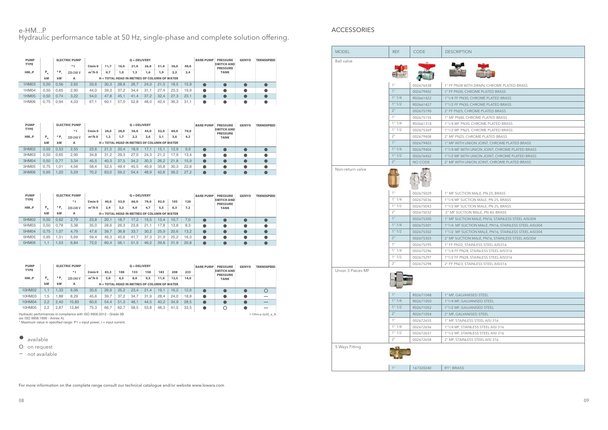#### e-HM...P ACCESSORIES Hydraulic performance table at 50 Hz, single-phase and complete solution offering.

For more information on the complete range consult our technical catalogue and/or website www.lowara.com



| WITH DRAIN, CHROME PLATED B     |  |
|---------------------------------|--|
| , CHROME PLATED BRASS           |  |
| <b>V30, CHROME PLATED BRASS</b> |  |
|                                 |  |

| <b>PUMP</b><br><b>TYPE</b><br>HMP | P.,<br>kW | $*$ $\mathsf{p}$<br>kW | <b>ELECTRIC PUMP</b><br>$*1$<br>220-240 V<br>A | $l/min$ 0<br>$m^3/h$ 0 | 11.7<br>0.7 | 16,0<br>1,0 | $Q = DELIVERY$<br>21,0<br>1.3<br>$H = TOTAL$ HEAD IN METRES OF COLUMN OF WATER | 26,0<br>1.6 | 31.0<br>1,9 | 36,0<br>2.2 | 40,0<br>2,4 | <b>BARE PUMP</b> | <b>PRESSURE</b><br><b>SWITCH AND</b><br><b>PRESSURE</b><br><b>TANK</b> | <b>GENYO</b> | <b>TEKNOSPEED</b> |
|-----------------------------------|-----------|------------------------|------------------------------------------------|------------------------|-------------|-------------|--------------------------------------------------------------------------------|-------------|-------------|-------------|-------------|------------------|------------------------------------------------------------------------|--------------|-------------------|
| 1HM03                             | 0.50      | 0.56                   | 2.62                                           | 33.6                   | 30.3        | 28.8        | 26.7                                                                           | 24.3        | 21.5        | 18.5        | 15.9        |                  |                                                                        |              |                   |
| 1HM04                             | 0.50      | 0.65                   | 2.90                                           | 44,0                   | 39.3        | 37.2        | 34.4                                                                           | 31.7        | 27.4        | 23,3        | 19.9        |                  |                                                                        |              |                   |
| 1HM05                             | 0.50      | 0.74                   | 3.22                                           | 54.0                   | 47.8        | 45.         | 41.4                                                                           | 37.2        | 32.4        | 27.3        | 23.7        |                  |                                                                        |              |                   |
| 1HM06                             | 0,75      | 0.94                   | 4.33                                           | 67.7                   | 60.1        | 57.0        | 52.8                                                                           | 48.0        | 42.4        | 36,3        | 31.         |                  |                                                                        |              |                   |

- $\bullet$  available
- O on request
- *—* not available

| <b>PUMP</b>        |         |       | <b>ELECTRIC PUMP</b> |                                   | $Q = DELIVERY$ |      |                                                    |      |      |      |      | <b>BARE PUMP</b> | <b>PRESSURE</b>                      | <b>GENYO</b> | <b>TEKNOSPEED</b> |  |
|--------------------|---------|-------|----------------------|-----------------------------------|----------------|------|----------------------------------------------------|------|------|------|------|------------------|--------------------------------------|--------------|-------------------|--|
| <b>TYPE</b>        |         |       | $*1$                 | $l/min$ <sup><math>0</math></sup> | 20,0           | 28,0 | 36,0                                               | 44,0 | 52,0 | 60,0 | 70,0 |                  | <b>SWITCH AND</b><br><b>PRESSURE</b> |              |                   |  |
| HM <sub>II</sub> P | $P_{N}$ | $*$ P | 220-240 V            | $m^3/h$ 0                         | 1,2            | 1.7  | 2.2                                                | 2,6  | 3,1  | 3,6  | 4,2  |                  | <b>TANK</b>                          |              |                   |  |
|                    | kW      | kW    | A                    |                                   |                |      | <b>H = TOTAL HEAD IN METRES OF COLUMN OF WATER</b> |      |      |      |      |                  |                                      |              |                   |  |
| 3HM02              | 0.50    | 0.53  | 2.55                 | 23.6                              | 21.5           | 20.4 | 18.9                                               | 17.1 | 15.  | 12.9 | 9.9  |                  |                                      |              |                   |  |
| 3HM03              | 0.50    | 0.65  | 2.90                 | 34.8                              | 31.2           | 29.3 | 27.0                                               | 24.3 | 21.2 | 17.9 | 13.4 |                  |                                      |              |                   |  |
| 3HM04              | 0.50    | 0.77  | 3.34                 | 45,5                              | 40.3           | 37.5 | 34.2                                               | 30.3 | 26.2 | 21.8 | 15.9 |                  |                                      |              |                   |  |
| 3HM05              | 0.75    | .01   | 4.56                 | 58.4                              | 52.5           | 49.4 | 45.5                                               | 40.9 | 35.8 | 30,3 | 22.8 |                  |                                      |              |                   |  |
| 3HM06              | 0.95    | .20   | 5.29                 | 70,2                              | 63.0           | 59.2 | 54.4                                               | 48.9 | 42.8 | 36.2 | 27.2 |                  |                                      |              |                   |  |

| <b>PUMP</b> |         |      | <b>ELECTRIC PUMP</b> |                                   |      |      | $Q = DELIVERY$                                |      |      |      |      | <b>BARE PUMP</b> | <b>PRESSURE</b>                      | <b>GENYO</b> | <b>TEKNOSPEED</b> |  |
|-------------|---------|------|----------------------|-----------------------------------|------|------|-----------------------------------------------|------|------|------|------|------------------|--------------------------------------|--------------|-------------------|--|
| <b>TYPE</b> |         |      | $*1$                 | $l/min$ <sup><math>0</math></sup> | 40,0 | 53,0 | 66,0                                          | 79,0 | 92,0 | 105  | 120  |                  | <b>SWITCH AND</b><br><b>PRESSURE</b> |              |                   |  |
| HMP         | $P_{N}$ | * P  | 220-240 V            | $m^3/h$ 0                         | 2.4  | 3,2  | 4,0                                           | 4,7  | 5,5  | 6,3  | 7,2  |                  | <b>TANK</b>                          |              |                   |  |
|             | kW      | kW   | A                    |                                   |      |      | $H = TOTAL$ HEAD IN METRES OF COLUMN OF WATER |      |      |      |      |                  |                                      |              |                   |  |
| 5HM02       | 0.50    | 0.62 | 2.79                 | 23.8                              | 20.1 | 8.7  | 17.2                                          | 15.5 | 13.4 | 10.7 | 7.0  |                  |                                      |              |                   |  |
| 5HM03       | 0.50    | 0.78 | 3.38                 | 35,0                              | 28.6 | 26.3 | 23.8                                          | 21.1 | 17.8 | 13.8 | 8,3  |                  |                                      |              |                   |  |
| 5HM04       | 0.75    | .07  | 4.79                 | 47.6                              | 39.7 | 36.8 | 33.7                                          | 30.2 | 25.9 | 20.6 | 13,2 |                  |                                      |              |                   |  |
| 5HM05       | 0.95    | .31  | 5.69                 | 59.4                              | 49.3 | 45.6 | 41.7                                          | 37.3 | 31.9 | 25,2 | 16.0 |                  |                                      |              |                   |  |
| 5HM06       | l . 1   | .53  | 6.84                 | 72.0                              | 60.4 | 56.1 | 51.5                                          | 46.2 | 39.8 | 31.9 | 20.8 |                  |                                      |              |                   |  |

| <b>PUMP</b> |               |       | <b>ELECTRIC PUMP</b> |           |                                               |      | $Q = DELIVERY$ |          |      |      |      | <b>BARE PUMP</b> | <b>PRESSURE</b>                      | <b>GENYO</b> | <b>TEKNOSPEED</b> |
|-------------|---------------|-------|----------------------|-----------|-----------------------------------------------|------|----------------|----------|------|------|------|------------------|--------------------------------------|--------------|-------------------|
| <b>TYPE</b> |               |       | $*1$                 | l/min 0   | 83,3                                          | 108  | 133            | 158      | 183  | 208  | 233  |                  | <b>SWITCH AND</b><br><b>PRESSURE</b> |              |                   |
| HMP         | $P_{N}$       | $*$ P | 220-240 V            | $m^3/h$ 0 | 5,0                                           | 6,5  | 8,0            | 9,5      | 11,0 | 12.5 | 14,0 |                  | <b>TANK</b>                          |              |                   |
|             | kW            | kW    | А                    |           | $H = TOTAL$ HEAD IN METRES OF COLUMN OF WATER |      |                |          |      |      |      |                  |                                      |              |                   |
| 10HM02      | $\mathsf{L}1$ | .33   | 6.06                 | 30,6      | 26.9                                          | 25.2 | 23.4           | 21<br>.4 | 19.1 | 16.2 | 12.6 |                  |                                      |              |                   |
| 10HM03      | .5            | .88   | 8.29                 | 45,6      | 39,7                                          | 37.2 | 34.7           | 31.9     | 28.4 | 24.0 | 18.8 |                  |                                      |              |                   |
| 10HM04      | 2,2           | 2.40  | 10.83                | 60,6      | 54.4                                          | 51.3 | 48.1           | 44.5     | 40.2 | 34.9 | 28.5 |                  |                                      |              | _                 |
| 10HM05      | 2,2           | 2,87  | 12.84                | 75,3      | 66,7                                          | 62,7 | 58,5           | 53.8     | 48,3 | 41,5 | 33.5 |                  |                                      |              |                   |

Hydraulic performances in compliance with ISO 9906:2012 - Grade 3B<br>(ex ISO 9906:1999 - Annex A)<br>\* Maximum value in specified range: P1 = input power; I = input current.

| <b>MODEL</b>      | REF.           | <b>CODE</b> | <b>DESCRIPTION</b>                                   |
|-------------------|----------------|-------------|------------------------------------------------------|
| <b>Ball</b> valve |                |             |                                                      |
|                   |                |             |                                                      |
|                   |                |             |                                                      |
|                   | 1"             | 002676438   | 1" FF PN38 WITH DRAIN, CHROME PLATED BRASS           |
|                   | 1"             | 002679402   | 1" FF PN30, CHROME PLATED BRASS                      |
|                   | 1" 1/4         | R02661422   | 1"1/4 FF PN30, CHROME PLATED BRASS                   |
|                   | 1" 1/2         | R02661427   | 1"1/2 FF PN30, CHROME PLATED BRASS                   |
|                   | 2 <sup>n</sup> | 002675190   | 2" FF PN25, CHROME PLATED BRASS                      |
|                   | 1"             | 002675155   | 1" MF PN40, CHROME PLATED BRASS                      |
|                   | 1" 1/4         | R02661318   | 1"1/4 MF PN30, CHROME PLATED BRASS                   |
|                   | 1" 1/2         | 002675369   | 1"1/2 MF PN25. CHROME PLATED BRASS                   |
|                   | 2"             | 002679408   | 2" MF PN25, CHROME PLATED BRASS                      |
|                   | 1"             | 002679403   | 1" MF WITH UNION JOINT, CHROME PLATED BRASS          |
|                   | 1" 1/4         | 002679404   | 1"1/4 MF WITH UNION JOINT, CHROME PLATED BRASS       |
|                   | 1" 1/2         | 002676452   | 1"1/2 MF WITH UNION JOINT, CHROME PLATED BRASS       |
|                   | 2"             | NO CODE     | 2" MF WITH UNION JOINT, CHROME PLATED BRASS          |
| Non-return valve  |                |             |                                                      |
|                   |                |             |                                                      |
|                   |                |             |                                                      |
|                   |                |             |                                                      |
|                   | 1"             | 002675029   | 1" MF SUCTION MALE, PN 25, BRASS                     |
|                   | 1" 1/4         | 002675036   | 1"1/4 MF SUCTION MALE, PN 25, BRASS                  |
|                   | 1" 1/2         | 002675043   | 1"1/2 MF SUCTION MALE, PN 25, BRASS                  |
|                   | 2"             | 002675032   | 2" MF SUCTION MALE, PN 40, BRASS                     |
|                   | 1"             | 002675300   | 1" MF SUCTION MALE, PN16, STAINLESS STEEL AISI304    |
|                   | 1" 1/4         | 002675301   | 1"1/4 MF SUCTION MALE, PN16, STAINLESS STEEL AISI304 |
|                   | 1" 1/2         | 002675302   | 1"1/2 MF SUCTION MALE, PN16, STAINLESS STEEL AISI304 |
|                   | 2 <sup>n</sup> | 002675303   | 2" MF SUCTION MALE, PN16, STAINLESS STEEL AISI304    |
|                   | 1"             | 002675295   | 1" FF PN32, STAINLESS STEEL AISI316                  |
|                   | 1" 1/4         | 002675296   | 1"1/4 FF PN28, STAINLESS STEEL AISI316               |
|                   | 1" 1/2         | 002675297   | 1"1/2 FF PN28, STAINLESS STEEL AISI316               |
|                   | 2"             | 002675298   | 2" FF PN23, STAINLESS STEEL AISI316                  |
| Union 3 Pieces MF |                |             |                                                      |
|                   | 1"             | R02671048   | 1" MF, GALVANISED STEEL                              |
|                   | 1" 1/4         | R02671050   | 1"1/4 MF, GALVANISED STEEL                           |
|                   | 1" 1/2         | R02671052   | 1"1/2 MF, GALVANISED STEEL                           |
|                   | 2"             | R02671054   | 2" MF, GALVANISED STEEL                              |
|                   | 1"             | 002672655   | 1" MF, STAINLESS STEEL AISI 316                      |
|                   | 1" 1/4         | 002672656   | 1"1/4 MF, STAINLESS STEEL AISI 316                   |
|                   | 1" 1/2         | 002672657   | 1"1/2 MF, STAINLESS STEEL AISI 316                   |
|                   | 2"             | 002672658   | 2" MF, STAINLESS STEEL AISI 316                      |
| 5 Ways Fitting    |                |             |                                                      |
|                   |                |             |                                                      |
|                   |                |             |                                                      |
|                   |                |             |                                                      |
|                   | 1"             | 167320240   | R1", BRASS                                           |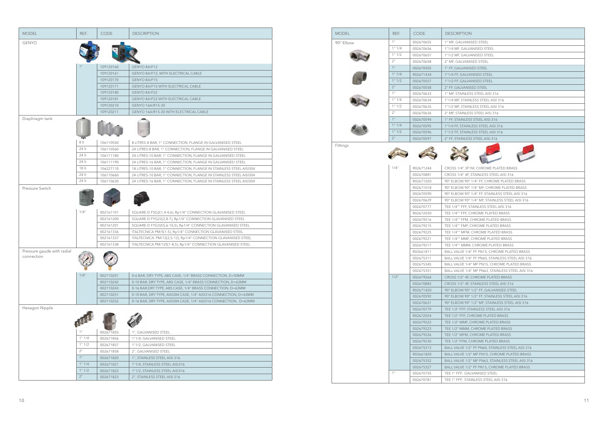|                            | REF.          | CODE                   | <b>DESCRIPTION</b>                                                 |
|----------------------------|---------------|------------------------|--------------------------------------------------------------------|
| <b>GENYO</b>               |               |                        |                                                                    |
|                            |               |                        |                                                                    |
|                            |               |                        |                                                                    |
|                            |               |                        |                                                                    |
|                            |               | 109120160              | GENYO 8A/F12                                                       |
|                            |               | 109120161              | GENYO 8A/F12, WITH ELECTRICAL CABLE                                |
|                            |               | 109120170              | GENYO 8A/F15                                                       |
|                            |               | 109120171              | GENYO 8A/F15 WITH ELECTRICAL CABLE                                 |
|                            |               | 109120180              | GENYO 8A/F22                                                       |
|                            |               | 109120181              | GENYO 8A/F22 WITH ELECTRICAL CABLE                                 |
|                            |               | 109120210              | GENYO 16A/R15-30                                                   |
|                            |               | 109120211              | GENYO 16A/R15-30 WITH ELECTRICAL CABLE                             |
| Diaphragm tank             |               |                        |                                                                    |
|                            |               |                        |                                                                    |
|                            |               |                        |                                                                    |
|                            |               |                        |                                                                    |
|                            | 8 It          |                        |                                                                    |
|                            |               | 106110550              | 8 LITRES-8 BAR, 1" CONNECTION, FLANGE IN GALVANISED STEEL          |
|                            | 24 It         | 106110560              | 24 LITRES-8 BAR, 1" CONNECTION, FLANGE IN GALVANISED STEEL         |
|                            | 24 It         | 106111180              | 24 LITRES-10 BAR, 1" CONNECTION, FLANGE IN GALVANISED STEEL        |
|                            | 24 It         | 106111190              | 24 LITRES-16 BAR, 1" CONNECTION, FLANGE IN GALVANISED STEEL        |
|                            | 18 lt         | 106227110              | 18 LITRES-10 BAR, 1" CONNECTION, FLANGE IN STAINLESS STEEL AISI304 |
|                            | 24 It         | 106110660              | 24 LITRES-10 BAR, 1" CONNECTION, FLANGE IN STAINLESS STEEL AISI304 |
|                            | 24 lt         | 106110630              | 24 LITRES-16 BAR, 1" CONNECTION, FLANGE IN STAINLESS STEEL AISI304 |
| Pressure Switch            |               |                        |                                                                    |
|                            |               |                        |                                                                    |
|                            |               |                        |                                                                    |
|                            |               |                        |                                                                    |
|                            | 1/4''         | 002161101              | SQUARE-D FSG2(1,4-4,6), Rp1/4" CONNECTION GLAVANISED STEEL         |
|                            |               | 002161200              | SQUARE-D FYG22(2,8-7), Rp1/4" CONNECTION GLAVANISED STEEL          |
|                            |               | 002161201              | SQUARE-D FYG32(5,6-10,5), Rp1/4" CONNECTION GLAVANISED STEEL       |
|                            |               | 002161336              | ITALTECNICA PM/5(1-5), Rp1/4" CONNECTION GLAVANISED STEEL          |
|                            |               | 002161337              | ITALTECNICA PM/12(2,5-12), Rp1/4" CONNECTION GLAVANISED STEEL      |
|                            |               | 002161338              | ITALTECNICA PM/12S(1-8,5), Rp1/4" CONNECTION GLAVANISED STEEL      |
|                            |               |                        |                                                                    |
| Pressure gaude with radial | $\sqrt{2\pi}$ | $\sqrt{2}$             |                                                                    |
| connection                 |               |                        |                                                                    |
|                            |               |                        |                                                                    |
|                            |               |                        |                                                                    |
|                            | $1/4$ "       | 002110201              | 0-6 BAR, DRY TYPE, ABS CASE, 1/4" BRASS CONNECTION, D=50MM         |
|                            |               | 002110242              | 0-10 BAR, DRY TYPE, ABS CASE, 1/4" BRASS CONNECTION, D=63MM        |
|                            |               | 002110243              | 0-16 BAR, DRY TYPE, ABS CASE, 1/4" BRASS CONNECTION, D=63MM        |
|                            |               | 002110251              | 0-10 BAR, DRY TYPE, AISI304 CASE, 1/4" AISI316 CONNECTION, D=63MM  |
|                            |               | 002110252              | 0-16 BAR, DRY TYPE, AISI304 CASE, 1/4" AISI316 CONNECTION, D=63MM  |
| Hexagon Nipple             |               |                        |                                                                    |
|                            |               |                        |                                                                    |
|                            |               |                        |                                                                    |
|                            |               |                        |                                                                    |
|                            |               | 002671855              | 1", GALVANISED STEEL                                               |
|                            | 1" 1/4        | 002671856              | 1"1/4, GALVANISED STEEL                                            |
|                            | 1" 1/2        | 002671857              | 1"1/2, GALVANISED STEEL                                            |
|                            |               | 002671858              | 2", GALVANISED STEEL                                               |
|                            |               |                        |                                                                    |
|                            | 2"            |                        |                                                                    |
|                            | 1"            | 002671820              | 1", STAINLESS STEEL AISI 316                                       |
|                            | 1" 1/4        | 002671821              | 1"1/4, STAINLESS STEEL AISI316                                     |
|                            | 1" 1/2<br>2"  | 002671822<br>002671823 | 1"1/2, STAINLESS STEEL AISI316<br>2", STAINLESS STEEL AISI 316     |

| <b>MODEL</b> | REF.            | <b>CODE</b>            | <b>DESCRIPTION</b>                                                       |
|--------------|-----------------|------------------------|--------------------------------------------------------------------------|
| 90° Elbow    | 1"              | 002670655              | 1" MF, GALVANISED STEEL                                                  |
|              | 1" 1/4          | 002670656              | 1"1/4 MF, GALVANISED STEEL                                               |
|              | 1" 1/2          | 002670657              | 1"1/2 MF, GALVANISED STEEL                                               |
|              | 2"              | 002670658              | 2" MF, GALVANISED STEEL                                                  |
|              | 1"              | 002670505              | 1" FF, GALVANISED STEEL                                                  |
|              | 1" 1/4          | R02671434              | 1"1/4 FF, GALVANISED STEEL                                               |
|              | 1" 1/2          | 002670557              | 1"1/2 FF, GALVANISED STEEL                                               |
|              | 2"              | 002670558              | 2" FF, GALVANISED STEEL                                                  |
|              | 1"              | 002670633              | 1" MF, STAINLESS STEEL AISI 316                                          |
|              | 1" 1/4          | 002670634              | 1"1/4 MF, STAINLESS STEEL AISI 316                                       |
|              | 1" 1/2          | 002670635              | 1"1/2 MF, STAINLESS STEEL AISI 316                                       |
|              | 2 <sup>11</sup> | 002670636              | 2" MF, STAINLESS STEEL AISI 316                                          |
|              | 1"              | 002670594              | 1" FF, STAINLESS STEEL AISI 316                                          |
|              | 1" 1/4          | 002670595              | 1"1/4 FF, STAINLESS STEEL AISI 316                                       |
|              | 1" 1/2          | 002670596              | 1"1/2 FF, STAINLESS STEEL AISI 316                                       |
|              | 2"              | 002670597              | 2" FF, STAINLESS STEEL AISI 316                                          |
| Fittings     | 1/4"            |                        |                                                                          |
|              |                 | R02671244              | CROSS 1/4" 3F1M, CHROME PLATED BRASS                                     |
|              |                 | 002670881              | CROSS 1/4" 4F, STAINLESS STEEL AISI 316                                  |
|              |                 | R02671020              | 90° ELBOW 90° 1/4" FF, CHROME PLATED BRASS                               |
|              |                 | R02671018              | 90° ELBOW 90° 1/4" MF, CHROME PLATED BRASS                               |
|              |                 | 002670590              | 90° ELBOW 90° 1/4" FF, STAINLESS STEEL AISI 316                          |
|              |                 | 002670629              | 90° ELBOW 90° 1/4" MF, STAINLESS STEEL AISI 316                          |
|              |                 | 002670777              | TEE 1/4"" FFF, STAINLESS STEEL AISI 316                                  |
|              |                 | R02672030<br>002679216 | TEE 1/4"" FFF, CHROME PLATED BRASS<br>TEE 1/4"" FFM, CHROME PLATED BRASS |
|              |                 | 002679215              | TEE 1/4"" FMF, CHROME PLATED BRASS                                       |
|              |                 | 002679225              | TEE 1/4"" MFM, CHROME PLATED BRASS                                       |
|              |                 | 002679221              | TEE 1/4"" MMF, CHROME PLATED BRASS                                       |
|              |                 | 002679217              | TEE 1/4"" MMM, CHROME PLATED BRASS                                       |
|              |                 | R02661811              | BALL VALVE 1/4" FF PN15, CHROME PLATED BRASS                             |
|              |                 | 002675311              | BALL VALVE 1/4" FF PN60, STAINLESS STEEL AISI 316                        |
|              |                 | 002675345              | BALL VALVE 1/4" MF PN15, CHROME PLATED BRASS                             |
|              |                 | 002675351              | BALL VALVE 1/4" MF PN63, STAINLESS STEEL AISI 316                        |
|              | $1/2$ "         | 002679264              | CROSS 1/2" 4F, CHROME PLATED BRASS                                       |
|              |                 | 002670883              | CROSS 1/2" 4F, STAINLESS STEEL AISI 316                                  |
|              |                 | R02671420              | 90° ELBOW 90° 1/2" FF, GALVANISED STEEL                                  |
|              |                 | 002670592              | 90° ELBOW 90° 1/2" FF, STAINLESS STEEL AISI 316                          |
|              |                 | 002670631              | 90° ELBOW 90° 1/2" MF, STAINLESS STEEL AISI 316                          |
|              |                 | 002670779              | TEE 1/2" FFF, STAINLESS STEEL AISI 316                                   |
|              |                 | R02672034              | TEE 1/2" FFF, CHROME PLATED BRASS                                        |
|              |                 | 002679222              | TEE 1/2" MMF, CHROME PLATED BRASS                                        |
|              |                 | 002679223              | TEE 1/2" MMM, CHROME PLATED BRASS                                        |
|              |                 | 002679226              | TEE 1/2" MFM, CHROME PLATED BRASS                                        |
|              |                 | 002679230              | TEE 1/2" FFM, CHROME PLATED BRASS                                        |
|              |                 | 002675313              | BALL VALVE 1/2" FF PN60, STAINLESS STEEL AISI 316                        |
|              |                 | R02661820              | BALL VALVE 1/2" MF PN15, CHROME PLATED BRASS                             |
|              |                 | 002675352              | BALL VALVE 1/2" MF PN63, STAINLESS STEEL AISI 316                        |
|              |                 | 002675327              | BALL VALVE 1/2" FF PN15, CHROME PLATED BRASS                             |
|              | 1"              | 002670755              | TEE 1" FFF, GALVANISED STEEL                                             |
|              |                 | 002670781              | TEE 1" FFF, STAINLESS STEEL AISI 316                                     |